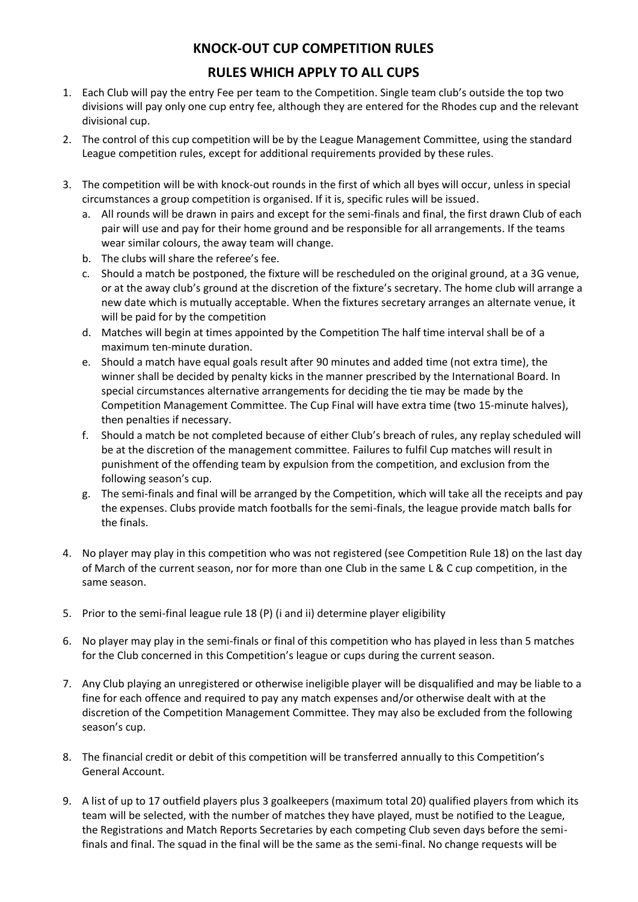## **KNOCK-OUT CUP COMPETITION RULES**

# **RULES WHICH APPLY TO ALL CUPS**

- 1. Each Club will pay the entry Fee per team to the Competition. Single team club's outside the top two divisions will pay only one cup entry fee, although they are entered for the Rhodes cup and the relevant divisional cup.
- 2. The control of this cup competition will be by the League Management Committee, using the standard League competition rules, except for additional requirements provided by these rules.
- 3. The competition will be with knock-out rounds in the first of which all byes will occur, unless in special circumstances a group competition is organised. If it is, specific rules will be issued.
	- a. All rounds will be drawn in pairs and except for the semi-finals and final, the first drawn Club of each pair will use and pay for their home ground and be responsible for all arrangements. If the teams wear similar colours, the away team will change.
	- b. The clubs will share the referee's fee.
	- c. Should a match be postponed, the fixture will be rescheduled on the original ground, at a 3G venue, or at the away club's ground at the discretion of the fixture's secretary. The home club will arrange a new date which is mutually acceptable. When the fixtures secretary arranges an alternate venue, it will be paid for by the competition
	- d. Matches will begin at times appointed by the Competition The half time interval shall be of a maximum ten-minute duration.
	- e. Should a match have equal goals result after 90 minutes and added time (not extra time), the winner shall be decided by penalty kicks in the manner prescribed by the International Board. In special circumstances alternative arrangements for deciding the tie may be made by the Competition Management Committee. The Cup Final will have extra time (two 15-minute halves), then penalties if necessary.
	- f. Should a match be not completed because of either Club's breach of rules, any replay scheduled will be at the discretion of the management committee. Failures to fulfil Cup matches will result in punishment of the offending team by expulsion from the competition, and exclusion from the following season's cup.
	- g. The semi-finals and final will be arranged by the Competition, which will take all the receipts and pay the expenses. Clubs provide match footballs for the semi-finals, the league provide match balls for the finals.
- 4. No player may play in this competition who was not registered (see Competition Rule 18) on the last day of March of the current season, nor for more than one Club in the same L & C cup competition, in the same season.
- 5. Prior to the semi-final league rule 18 (P) (i and ii) determine player eligibility
- 6. No player may play in the semi-finals or final of this competition who has played in less than 5 matches for the Club concerned in this Competition's league or cups during the current season.
- 7. Any Club playing an unregistered or otherwise ineligible player will be disqualified and may be liable to a fine for each offence and required to pay any match expenses and/or otherwise dealt with at the discretion of the Competition Management Committee. They may also be excluded from the following season's cup.
- 8. The financial credit or debit of this competition will be transferred annually to this Competition's General Account.
- 9. A list of up to 17 outfield players plus 3 goalkeepers (maximum total 20) qualified players from which its team will be selected, with the number of matches they have played, must be notified to the League, the Registrations and Match Reports Secretaries by each competing Club seven days before the semifinals and final. The squad in the final will be the same as the semi-final. No change requests will be